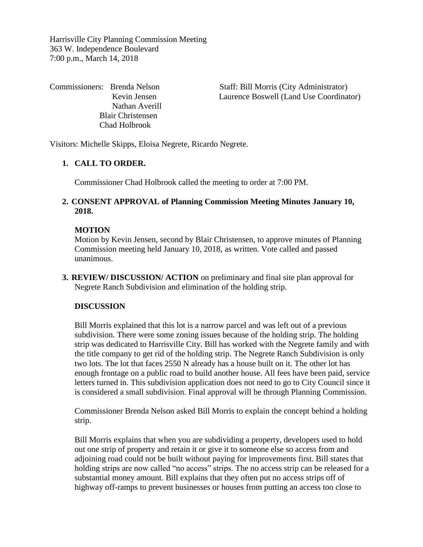Harrisville City Planning Commission Meeting 363 W. Independence Boulevard 7:00 p.m., March 14, 2018

Nathan Averill Blair Christensen Chad Holbrook

Commissioners: Brenda Nelson Staff: Bill Morris (City Administrator) Kevin Jensen Laurence Boswell (Land Use Coordinator)

Visitors: Michelle Skipps, Eloisa Negrete, Ricardo Negrete.

## **1. CALL TO ORDER.**

Commissioner Chad Holbrook called the meeting to order at 7:00 PM.

## **2. CONSENT APPROVAL of Planning Commission Meeting Minutes January 10, 2018.**

#### **MOTION**

Motion by Kevin Jensen, second by Blair Christensen, to approve minutes of Planning Commission meeting held January 10, 2018, as written. Vote called and passed unanimous.

**3. REVIEW/ DISCUSSION/ ACTION** on preliminary and final site plan approval for Negrete Ranch Subdivision and elimination of the holding strip.

#### **DISCUSSION**

Bill Morris explained that this lot is a narrow parcel and was left out of a previous subdivision. There were some zoning issues because of the holding strip. The holding strip was dedicated to Harrisville City. Bill has worked with the Negrete family and with the title company to get rid of the holding strip. The Negrete Ranch Subdivision is only two lots. The lot that faces 2550 N already has a house built on it. The other lot has enough frontage on a public road to build another house. All fees have been paid, service letters turned in. This subdivision application does not need to go to City Council since it is considered a small subdivision. Final approval will be through Planning Commission.

Commissioner Brenda Nelson asked Bill Morris to explain the concept behind a holding strip.

Bill Morris explains that when you are subdividing a property, developers used to hold out one strip of property and retain it or give it to someone else so access from and adjoining road could not be built without paying for improvements first. Bill states that holding strips are now called "no access" strips. The no access strip can be released for a substantial money amount. Bill explains that they often put no access strips off of highway off-ramps to prevent businesses or houses from putting an access too close to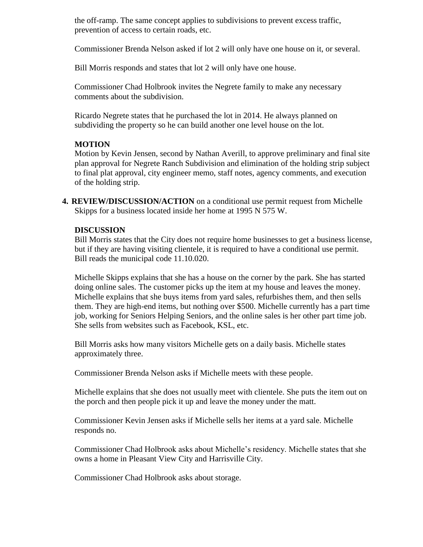the off-ramp. The same concept applies to subdivisions to prevent excess traffic, prevention of access to certain roads, etc.

Commissioner Brenda Nelson asked if lot 2 will only have one house on it, or several.

Bill Morris responds and states that lot 2 will only have one house.

Commissioner Chad Holbrook invites the Negrete family to make any necessary comments about the subdivision.

Ricardo Negrete states that he purchased the lot in 2014. He always planned on subdividing the property so he can build another one level house on the lot.

## **MOTION**

Motion by Kevin Jensen, second by Nathan Averill, to approve preliminary and final site plan approval for Negrete Ranch Subdivision and elimination of the holding strip subject to final plat approval, city engineer memo, staff notes, agency comments, and execution of the holding strip.

**4. REVIEW/DISCUSSION/ACTION** on a conditional use permit request from Michelle Skipps for a business located inside her home at 1995 N 575 W.

#### **DISCUSSION**

Bill Morris states that the City does not require home businesses to get a business license, but if they are having visiting clientele, it is required to have a conditional use permit. Bill reads the municipal code 11.10.020.

Michelle Skipps explains that she has a house on the corner by the park. She has started doing online sales. The customer picks up the item at my house and leaves the money. Michelle explains that she buys items from yard sales, refurbishes them, and then sells them. They are high-end items, but nothing over \$500. Michelle currently has a part time job, working for Seniors Helping Seniors, and the online sales is her other part time job. She sells from websites such as Facebook, KSL, etc.

Bill Morris asks how many visitors Michelle gets on a daily basis. Michelle states approximately three.

Commissioner Brenda Nelson asks if Michelle meets with these people.

Michelle explains that she does not usually meet with clientele. She puts the item out on the porch and then people pick it up and leave the money under the matt.

Commissioner Kevin Jensen asks if Michelle sells her items at a yard sale. Michelle responds no.

Commissioner Chad Holbrook asks about Michelle's residency. Michelle states that she owns a home in Pleasant View City and Harrisville City.

Commissioner Chad Holbrook asks about storage.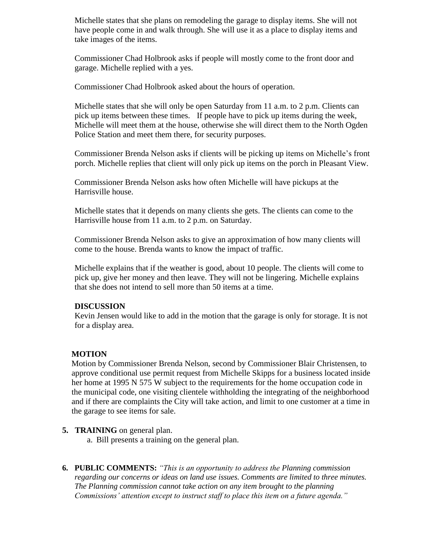Michelle states that she plans on remodeling the garage to display items. She will not have people come in and walk through. She will use it as a place to display items and take images of the items.

Commissioner Chad Holbrook asks if people will mostly come to the front door and garage. Michelle replied with a yes.

Commissioner Chad Holbrook asked about the hours of operation.

Michelle states that she will only be open Saturday from 11 a.m. to 2 p.m. Clients can pick up items between these times. If people have to pick up items during the week, Michelle will meet them at the house, otherwise she will direct them to the North Ogden Police Station and meet them there, for security purposes.

Commissioner Brenda Nelson asks if clients will be picking up items on Michelle's front porch. Michelle replies that client will only pick up items on the porch in Pleasant View.

Commissioner Brenda Nelson asks how often Michelle will have pickups at the Harrisville house.

Michelle states that it depends on many clients she gets. The clients can come to the Harrisville house from 11 a.m. to 2 p.m. on Saturday.

Commissioner Brenda Nelson asks to give an approximation of how many clients will come to the house. Brenda wants to know the impact of traffic.

Michelle explains that if the weather is good, about 10 people. The clients will come to pick up, give her money and then leave. They will not be lingering. Michelle explains that she does not intend to sell more than 50 items at a time.

#### **DISCUSSION**

Kevin Jensen would like to add in the motion that the garage is only for storage. It is not for a display area.

## **MOTION**

Motion by Commissioner Brenda Nelson, second by Commissioner Blair Christensen, to approve conditional use permit request from Michelle Skipps for a business located inside her home at 1995 N 575 W subject to the requirements for the home occupation code in the municipal code, one visiting clientele withholding the integrating of the neighborhood and if there are complaints the City will take action, and limit to one customer at a time in the garage to see items for sale.

#### **5. TRAINING** on general plan.

- a. Bill presents a training on the general plan.
- **6. PUBLIC COMMENTS:** *"This is an opportunity to address the Planning commission regarding our concerns or ideas on land use issues. Comments are limited to three minutes. The Planning commission cannot take action on any item brought to the planning Commissions' attention except to instruct staff to place this item on a future agenda."*